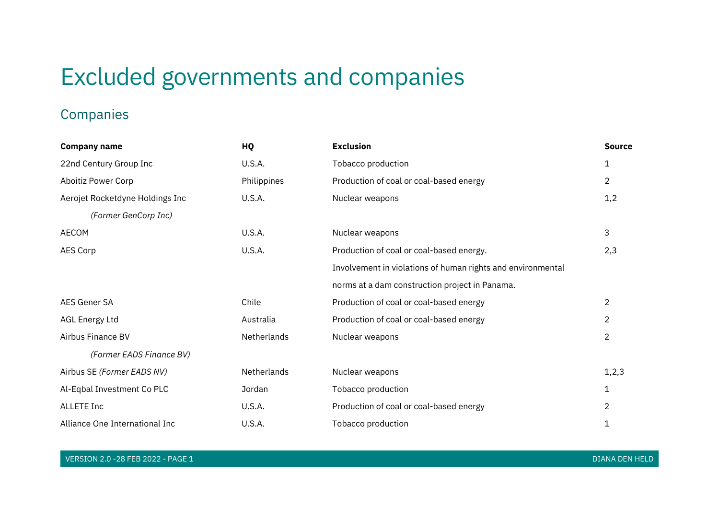# Excluded governments and companies

## Companies

| <b>Company name</b>             | HQ          | <b>Exclusion</b>                                            | <b>Source</b>  |
|---------------------------------|-------------|-------------------------------------------------------------|----------------|
| 22nd Century Group Inc          | U.S.A.      | Tobacco production                                          | 1              |
| Aboitiz Power Corp              | Philippines | Production of coal or coal-based energy                     | $\overline{2}$ |
| Aerojet Rocketdyne Holdings Inc | U.S.A.      | Nuclear weapons                                             | 1,2            |
| (Former GenCorp Inc)            |             |                                                             |                |
| AECOM                           | U.S.A.      | Nuclear weapons                                             | 3              |
| AES Corp                        | U.S.A.      | Production of coal or coal-based energy.                    | 2,3            |
|                                 |             | Involvement in violations of human rights and environmental |                |
|                                 |             | norms at a dam construction project in Panama.              |                |
| AES Gener SA                    | Chile       | Production of coal or coal-based energy                     | $\overline{2}$ |
| AGL Energy Ltd                  | Australia   | Production of coal or coal-based energy                     | 2              |
| Airbus Finance BV               | Netherlands | Nuclear weapons                                             | $\overline{2}$ |
| (Former EADS Finance BV)        |             |                                                             |                |
| Airbus SE (Former EADS NV)      | Netherlands | Nuclear weapons                                             | 1, 2, 3        |
| Al-Eqbal Investment Co PLC      | Jordan      | Tobacco production                                          | 1              |
| <b>ALLETE Inc</b>               | U.S.A.      | Production of coal or coal-based energy                     | 2              |
| Alliance One International Inc  | U.S.A.      | Tobacco production                                          | 1              |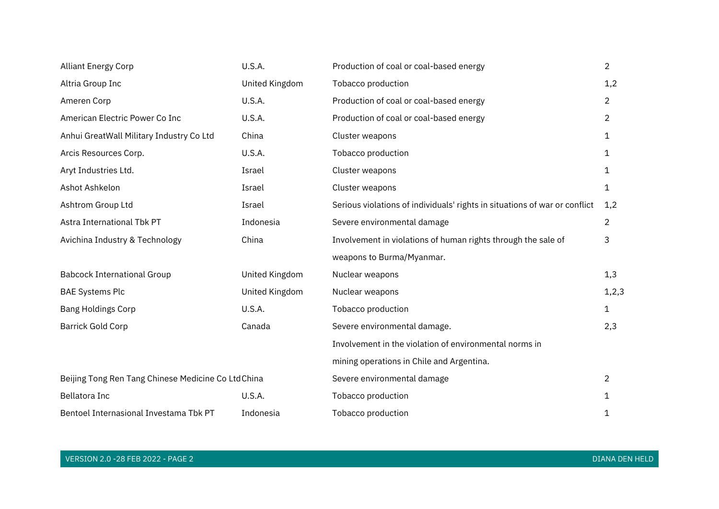| <b>Alliant Energy Corp</b>                          | U.S.A.         | Production of coal or coal-based energy                                    | $\overline{2}$ |
|-----------------------------------------------------|----------------|----------------------------------------------------------------------------|----------------|
| Altria Group Inc                                    | United Kingdom | Tobacco production                                                         | 1,2            |
| Ameren Corp                                         | U.S.A.         | Production of coal or coal-based energy                                    | $\overline{2}$ |
| American Electric Power Co Inc                      | U.S.A.         | Production of coal or coal-based energy                                    | $\overline{2}$ |
| Anhui GreatWall Military Industry Co Ltd            | China          | Cluster weapons                                                            | 1              |
| Arcis Resources Corp.                               | U.S.A.         | Tobacco production                                                         | 1              |
| Aryt Industries Ltd.                                | Israel         | Cluster weapons                                                            | 1              |
| Ashot Ashkelon                                      | Israel         | Cluster weapons                                                            | 1              |
| Ashtrom Group Ltd                                   | Israel         | Serious violations of individuals' rights in situations of war or conflict | 1,2            |
| Astra International Tbk PT                          | Indonesia      | Severe environmental damage                                                | $\overline{2}$ |
| Avichina Industry & Technology                      | China          | Involvement in violations of human rights through the sale of              | 3              |
|                                                     |                | weapons to Burma/Myanmar.                                                  |                |
| <b>Babcock International Group</b>                  | United Kingdom | Nuclear weapons                                                            | 1,3            |
| <b>BAE Systems Plc</b>                              | United Kingdom | Nuclear weapons                                                            | 1, 2, 3        |
| <b>Bang Holdings Corp</b>                           | U.S.A.         | Tobacco production                                                         | $\mathbf{1}$   |
| <b>Barrick Gold Corp</b>                            | Canada         | Severe environmental damage.                                               | 2,3            |
|                                                     |                | Involvement in the violation of environmental norms in                     |                |
|                                                     |                | mining operations in Chile and Argentina.                                  |                |
| Beijing Tong Ren Tang Chinese Medicine Co Ltd China |                | Severe environmental damage                                                | $\overline{2}$ |
| Bellatora Inc                                       | U.S.A.         | Tobacco production                                                         | 1              |
| Bentoel Internasional Investama Tbk PT              | Indonesia      | Tobacco production                                                         | 1              |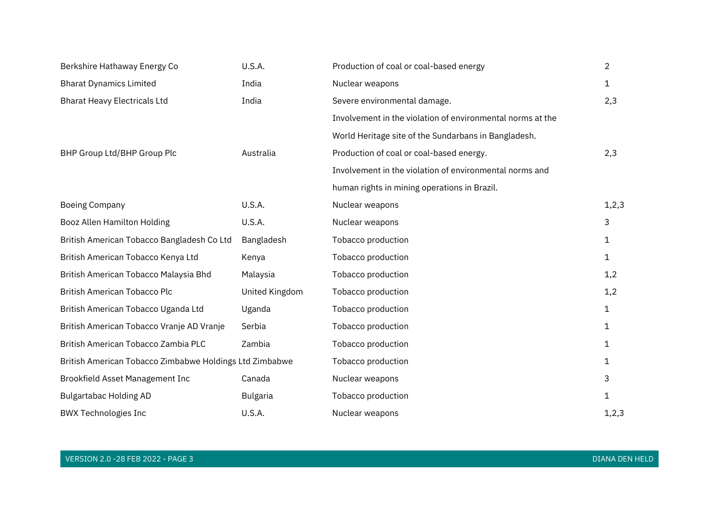| Berkshire Hathaway Energy Co                            | U.S.A.          | Production of coal or coal-based energy                    | $\overline{2}$ |
|---------------------------------------------------------|-----------------|------------------------------------------------------------|----------------|
| <b>Bharat Dynamics Limited</b>                          | India           | Nuclear weapons                                            | $\mathbf{1}$   |
| <b>Bharat Heavy Electricals Ltd</b>                     | India           | Severe environmental damage.                               | 2,3            |
|                                                         |                 | Involvement in the violation of environmental norms at the |                |
|                                                         |                 | World Heritage site of the Sundarbans in Bangladesh.       |                |
| BHP Group Ltd/BHP Group Plc                             | Australia       | Production of coal or coal-based energy.                   | 2,3            |
|                                                         |                 | Involvement in the violation of environmental norms and    |                |
|                                                         |                 | human rights in mining operations in Brazil.               |                |
| <b>Boeing Company</b>                                   | U.S.A.          | Nuclear weapons                                            | 1, 2, 3        |
| Booz Allen Hamilton Holding                             | U.S.A.          | Nuclear weapons                                            | 3              |
| British American Tobacco Bangladesh Co Ltd              | Bangladesh      | Tobacco production                                         | 1              |
| British American Tobacco Kenya Ltd                      | Kenya           | Tobacco production                                         | 1              |
| British American Tobacco Malaysia Bhd                   | Malaysia        | Tobacco production                                         | 1,2            |
| British American Tobacco Plc                            | United Kingdom  | Tobacco production                                         | 1,2            |
| British American Tobacco Uganda Ltd                     | Uganda          | Tobacco production                                         | $\mathbf 1$    |
| British American Tobacco Vranje AD Vranje               | Serbia          | Tobacco production                                         | 1              |
| British American Tobacco Zambia PLC                     | Zambia          | Tobacco production                                         | 1              |
| British American Tobacco Zimbabwe Holdings Ltd Zimbabwe |                 | Tobacco production                                         | 1              |
| Brookfield Asset Management Inc                         | Canada          | Nuclear weapons                                            | 3              |
| <b>Bulgartabac Holding AD</b>                           | <b>Bulgaria</b> | Tobacco production                                         | $\mathbf{1}$   |
| <b>BWX Technologies Inc</b>                             | U.S.A.          | Nuclear weapons                                            | 1, 2, 3        |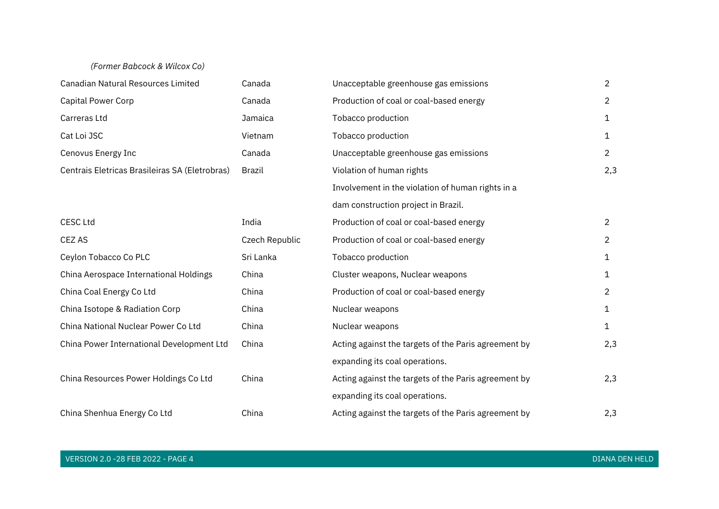#### *(Former Babcock & Wilcox Co)*

| <b>Canadian Natural Resources Limited</b>      | Canada         | Unacceptable greenhouse gas emissions                | $\overline{2}$ |
|------------------------------------------------|----------------|------------------------------------------------------|----------------|
| <b>Capital Power Corp</b>                      | Canada         | Production of coal or coal-based energy              | $\overline{2}$ |
| Carreras Ltd                                   | Jamaica        | Tobacco production                                   | 1              |
| Cat Loi JSC                                    | Vietnam        | Tobacco production                                   | 1              |
| Cenovus Energy Inc                             | Canada         | Unacceptable greenhouse gas emissions                | $\overline{2}$ |
| Centrais Eletricas Brasileiras SA (Eletrobras) | <b>Brazil</b>  | Violation of human rights                            | 2,3            |
|                                                |                | Involvement in the violation of human rights in a    |                |
|                                                |                | dam construction project in Brazil.                  |                |
| <b>CESC Ltd</b>                                | India          | Production of coal or coal-based energy              | $\overline{2}$ |
| CEZ AS                                         | Czech Republic | Production of coal or coal-based energy              | 2              |
| Ceylon Tobacco Co PLC                          | Sri Lanka      | Tobacco production                                   | 1              |
| China Aerospace International Holdings         | China          | Cluster weapons, Nuclear weapons                     | 1              |
| China Coal Energy Co Ltd                       | China          | Production of coal or coal-based energy              | $\overline{2}$ |
| China Isotope & Radiation Corp                 | China          | Nuclear weapons                                      | 1              |
| China National Nuclear Power Co Ltd            | China          | Nuclear weapons                                      | 1              |
| China Power International Development Ltd      | China          | Acting against the targets of the Paris agreement by | 2,3            |
|                                                |                | expanding its coal operations.                       |                |
| China Resources Power Holdings Co Ltd          | China          | Acting against the targets of the Paris agreement by | 2,3            |
|                                                |                | expanding its coal operations.                       |                |
| China Shenhua Energy Co Ltd                    | China          | Acting against the targets of the Paris agreement by | 2,3            |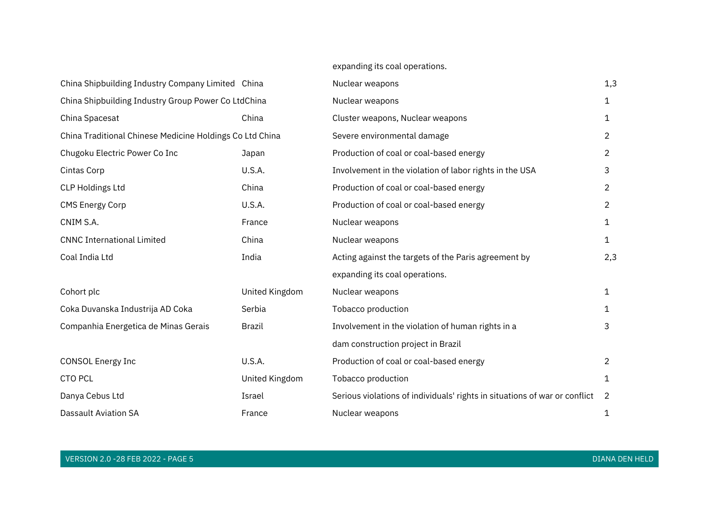#### expanding its coal operations.

| China Shipbuilding Industry Company Limited China        |                | Nuclear weapons                                                            | 1,3            |
|----------------------------------------------------------|----------------|----------------------------------------------------------------------------|----------------|
| China Shipbuilding Industry Group Power Co LtdChina      |                | Nuclear weapons                                                            | $\mathbf{1}$   |
| China Spacesat                                           | China          | Cluster weapons, Nuclear weapons                                           | 1              |
| China Traditional Chinese Medicine Holdings Co Ltd China |                | Severe environmental damage                                                | $\overline{2}$ |
| Chugoku Electric Power Co Inc                            | Japan          | Production of coal or coal-based energy                                    | $\overline{2}$ |
| Cintas Corp                                              | U.S.A.         | Involvement in the violation of labor rights in the USA                    | 3              |
| <b>CLP Holdings Ltd</b>                                  | China          | Production of coal or coal-based energy                                    | $\overline{2}$ |
| <b>CMS Energy Corp</b>                                   | U.S.A.         | Production of coal or coal-based energy                                    | $\overline{2}$ |
| CNIM S.A.                                                | France         | Nuclear weapons                                                            | $\mathbf{1}$   |
| <b>CNNC International Limited</b>                        | China          | Nuclear weapons                                                            | 1              |
| Coal India Ltd                                           | India          | Acting against the targets of the Paris agreement by                       | 2,3            |
|                                                          |                | expanding its coal operations.                                             |                |
| Cohort plc                                               | United Kingdom | Nuclear weapons                                                            | $\mathbf{1}$   |
| Coka Duvanska Industrija AD Coka                         | Serbia         | Tobacco production                                                         | 1              |
| Companhia Energetica de Minas Gerais                     | <b>Brazil</b>  | Involvement in the violation of human rights in a                          | 3              |
|                                                          |                | dam construction project in Brazil                                         |                |
| <b>CONSOL Energy Inc</b>                                 | <b>U.S.A.</b>  | Production of coal or coal-based energy                                    | $\overline{2}$ |
| <b>CTO PCL</b>                                           | United Kingdom | Tobacco production                                                         | 1              |
| Danya Cebus Ltd                                          | Israel         | Serious violations of individuals' rights in situations of war or conflict | $\overline{2}$ |
| <b>Dassault Aviation SA</b>                              | France         | Nuclear weapons                                                            | 1              |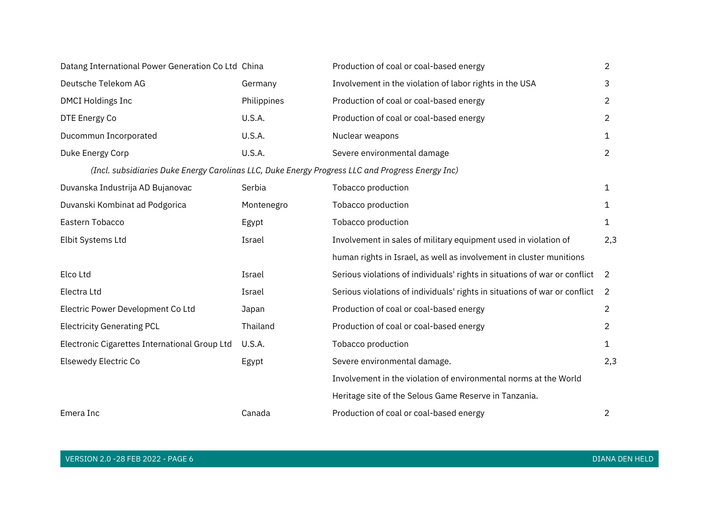| Datang International Power Generation Co Ltd China                                               |               | Production of coal or coal-based energy                                    | $\overline{2}$ |
|--------------------------------------------------------------------------------------------------|---------------|----------------------------------------------------------------------------|----------------|
| Deutsche Telekom AG                                                                              | Germany       | Involvement in the violation of labor rights in the USA                    | 3              |
| <b>DMCI Holdings Inc</b>                                                                         | Philippines   | Production of coal or coal-based energy                                    | $\overline{c}$ |
| DTE Energy Co                                                                                    | U.S.A.        | Production of coal or coal-based energy                                    | $\overline{c}$ |
| Ducommun Incorporated                                                                            | <b>U.S.A.</b> | Nuclear weapons                                                            | 1              |
| Duke Energy Corp                                                                                 | U.S.A.        | Severe environmental damage                                                | $\overline{2}$ |
| (Incl. subsidiaries Duke Energy Carolinas LLC, Duke Energy Progress LLC and Progress Energy Inc) |               |                                                                            |                |
| Duvanska Industrija AD Bujanovac                                                                 | Serbia        | Tobacco production                                                         | $\mathbf{1}$   |
| Duvanski Kombinat ad Podgorica                                                                   | Montenegro    | Tobacco production                                                         | 1              |
| Eastern Tobacco                                                                                  | Egypt         | Tobacco production                                                         | 1              |
| Elbit Systems Ltd                                                                                | Israel        | Involvement in sales of military equipment used in violation of            | 2,3            |
|                                                                                                  |               | human rights in Israel, as well as involvement in cluster munitions        |                |
| Elco Ltd                                                                                         | Israel        | Serious violations of individuals' rights in situations of war or conflict | $\overline{2}$ |
| Electra Ltd                                                                                      | Israel        | Serious violations of individuals' rights in situations of war or conflict | 2              |
| Electric Power Development Co Ltd                                                                | Japan         | Production of coal or coal-based energy                                    | $\overline{2}$ |
| <b>Electricity Generating PCL</b>                                                                | Thailand      | Production of coal or coal-based energy                                    | 2              |
| Electronic Cigarettes International Group Ltd                                                    | <b>U.S.A.</b> | Tobacco production                                                         | 1              |
| <b>Elsewedy Electric Co</b>                                                                      | Egypt         | Severe environmental damage.                                               | 2,3            |
|                                                                                                  |               | Involvement in the violation of environmental norms at the World           |                |
|                                                                                                  |               | Heritage site of the Selous Game Reserve in Tanzania.                      |                |
| Emera Inc                                                                                        | Canada        | Production of coal or coal-based energy                                    | 2              |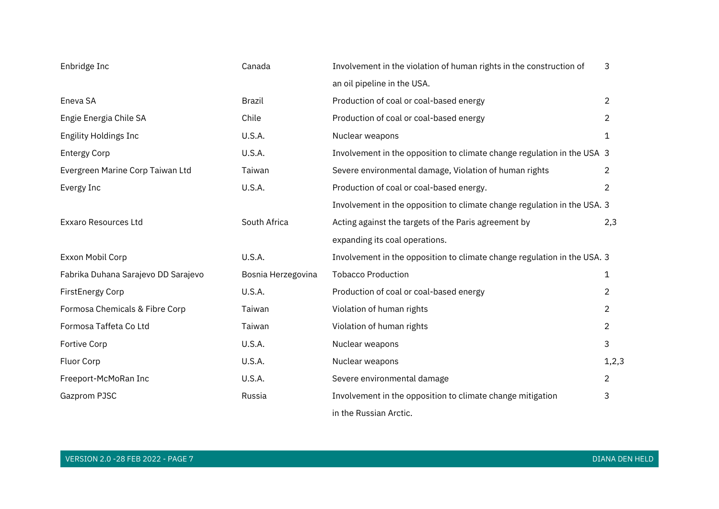| Enbridge Inc                        | Canada             | Involvement in the violation of human rights in the construction of      | 3              |
|-------------------------------------|--------------------|--------------------------------------------------------------------------|----------------|
|                                     |                    | an oil pipeline in the USA.                                              |                |
| Eneva SA                            | Brazil             | Production of coal or coal-based energy                                  | $\overline{2}$ |
| Engie Energia Chile SA              | Chile              | Production of coal or coal-based energy                                  | $\overline{2}$ |
| <b>Engility Holdings Inc</b>        | U.S.A.             | Nuclear weapons                                                          | 1              |
| <b>Entergy Corp</b>                 | U.S.A.             | Involvement in the opposition to climate change regulation in the USA 3  |                |
| Evergreen Marine Corp Taiwan Ltd    | Taiwan             | Severe environmental damage, Violation of human rights                   | 2              |
| Evergy Inc                          | U.S.A.             | Production of coal or coal-based energy.                                 | $\overline{2}$ |
|                                     |                    | Involvement in the opposition to climate change regulation in the USA. 3 |                |
| <b>Exxaro Resources Ltd</b>         | South Africa       | Acting against the targets of the Paris agreement by                     | 2,3            |
|                                     |                    | expanding its coal operations.                                           |                |
| Exxon Mobil Corp                    | <b>U.S.A.</b>      | Involvement in the opposition to climate change regulation in the USA. 3 |                |
| Fabrika Duhana Sarajevo DD Sarajevo | Bosnia Herzegovina | <b>Tobacco Production</b>                                                | 1              |
| <b>FirstEnergy Corp</b>             | U.S.A.             | Production of coal or coal-based energy                                  | 2              |
| Formosa Chemicals & Fibre Corp      | Taiwan             | Violation of human rights                                                | $\overline{2}$ |
| Formosa Taffeta Co Ltd              | Taiwan             | Violation of human rights                                                | $\overline{2}$ |
| Fortive Corp                        | U.S.A.             | Nuclear weapons                                                          | 3              |
| Fluor Corp                          | U.S.A.             | Nuclear weapons                                                          | 1, 2, 3        |
| Freeport-McMoRan Inc                | U.S.A.             | Severe environmental damage                                              | 2              |
| Gazprom PJSC                        | Russia             | Involvement in the opposition to climate change mitigation               | 3              |
|                                     |                    | in the Russian Arctic.                                                   |                |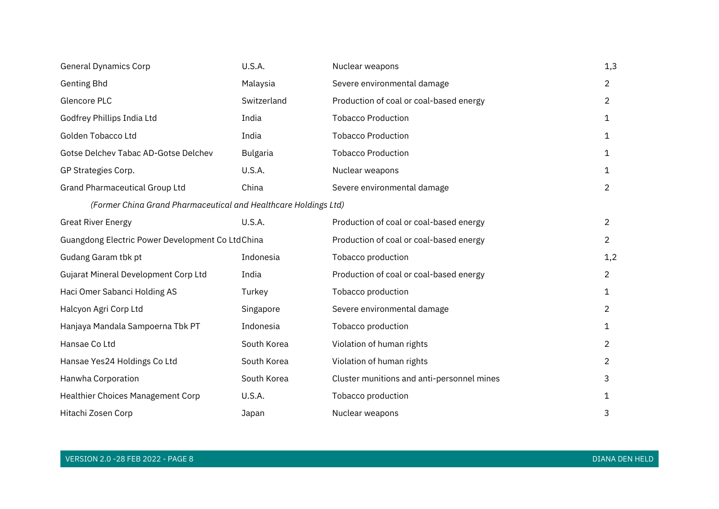| <b>General Dynamics Corp</b>                                    | U.S.A.          | Nuclear weapons                            | 1,3            |
|-----------------------------------------------------------------|-----------------|--------------------------------------------|----------------|
| <b>Genting Bhd</b>                                              | Malaysia        | Severe environmental damage                | $\overline{2}$ |
| Glencore PLC                                                    | Switzerland     | Production of coal or coal-based energy    | $\overline{2}$ |
| Godfrey Phillips India Ltd                                      | India           | <b>Tobacco Production</b>                  | 1              |
| Golden Tobacco Ltd                                              | India           | <b>Tobacco Production</b>                  | 1              |
| Gotse Delchev Tabac AD-Gotse Delchev                            | <b>Bulgaria</b> | <b>Tobacco Production</b>                  | 1              |
| GP Strategies Corp.                                             | U.S.A.          | Nuclear weapons                            | 1              |
| <b>Grand Pharmaceutical Group Ltd</b>                           | China           | Severe environmental damage                | $\overline{2}$ |
| (Former China Grand Pharmaceutical and Healthcare Holdings Ltd) |                 |                                            |                |
| <b>Great River Energy</b>                                       | U.S.A.          | Production of coal or coal-based energy    | $\overline{2}$ |
| Guangdong Electric Power Development Co LtdChina                |                 | Production of coal or coal-based energy    | $\overline{2}$ |
| Gudang Garam tbk pt                                             | Indonesia       | Tobacco production                         | 1,2            |
| Gujarat Mineral Development Corp Ltd                            | India           | Production of coal or coal-based energy    | $\overline{2}$ |
| Haci Omer Sabanci Holding AS                                    | Turkey          | Tobacco production                         | 1              |
| Halcyon Agri Corp Ltd                                           | Singapore       | Severe environmental damage                | $\overline{2}$ |
| Hanjaya Mandala Sampoerna Tbk PT                                | Indonesia       | Tobacco production                         | 1              |
| Hansae Co Ltd                                                   | South Korea     | Violation of human rights                  | $\overline{2}$ |
| Hansae Yes24 Holdings Co Ltd                                    | South Korea     | Violation of human rights                  | $\overline{2}$ |
| Hanwha Corporation                                              | South Korea     | Cluster munitions and anti-personnel mines | 3              |
| Healthier Choices Management Corp                               | U.S.A.          | Tobacco production                         | 1              |
| Hitachi Zosen Corp                                              | Japan           | Nuclear weapons                            | 3              |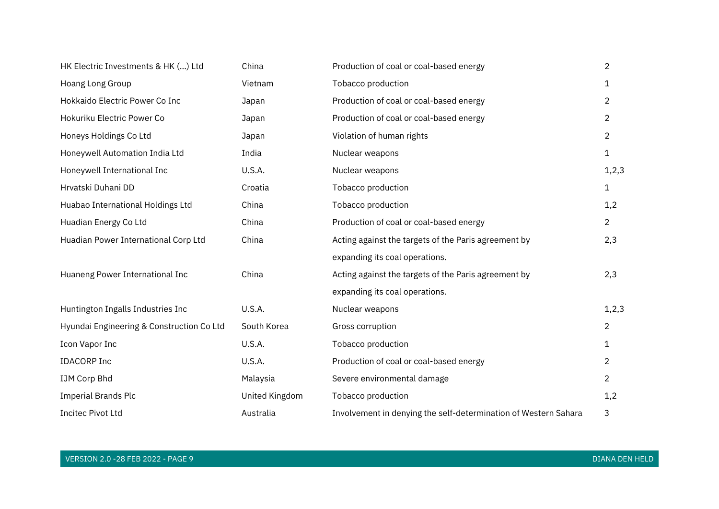| HK Electric Investments & HK () Ltd       | China          | Production of coal or coal-based energy                         | $\overline{2}$ |
|-------------------------------------------|----------------|-----------------------------------------------------------------|----------------|
| Hoang Long Group                          | Vietnam        | Tobacco production                                              | 1              |
| Hokkaido Electric Power Co Inc            | Japan          | Production of coal or coal-based energy                         | $\overline{2}$ |
| Hokuriku Electric Power Co                | Japan          | Production of coal or coal-based energy                         | $\overline{2}$ |
| Honeys Holdings Co Ltd                    | Japan          | Violation of human rights                                       | $\overline{2}$ |
| Honeywell Automation India Ltd            | India          | Nuclear weapons                                                 | 1              |
| Honeywell International Inc               | U.S.A.         | Nuclear weapons                                                 | 1, 2, 3        |
| Hrvatski Duhani DD                        | Croatia        | Tobacco production                                              | 1              |
| Huabao International Holdings Ltd         | China          | Tobacco production                                              | 1,2            |
| Huadian Energy Co Ltd                     | China          | Production of coal or coal-based energy                         | $\overline{2}$ |
| Huadian Power International Corp Ltd      | China          | Acting against the targets of the Paris agreement by            | 2,3            |
|                                           |                | expanding its coal operations.                                  |                |
| Huaneng Power International Inc           | China          | Acting against the targets of the Paris agreement by            | 2,3            |
|                                           |                | expanding its coal operations.                                  |                |
| Huntington Ingalls Industries Inc         | U.S.A.         | Nuclear weapons                                                 | 1, 2, 3        |
| Hyundai Engineering & Construction Co Ltd | South Korea    | Gross corruption                                                | $\overline{2}$ |
| Icon Vapor Inc                            | U.S.A.         | Tobacco production                                              | 1              |
| <b>IDACORP Inc</b>                        | U.S.A.         | Production of coal or coal-based energy                         | $\overline{2}$ |
| IJM Corp Bhd                              | Malaysia       | Severe environmental damage                                     | $\overline{2}$ |
| <b>Imperial Brands Plc</b>                | United Kingdom | Tobacco production                                              | 1,2            |
| <b>Incitec Pivot Ltd</b>                  | Australia      | Involvement in denying the self-determination of Western Sahara | 3              |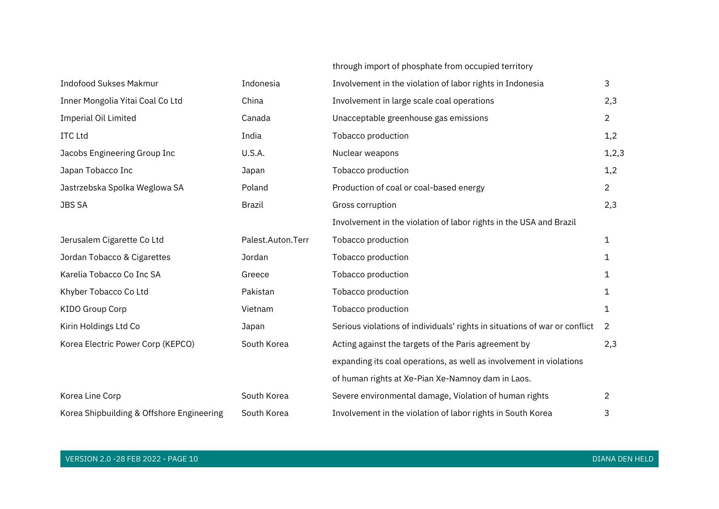#### through import of phosphate from occupied territory

| <b>Indofood Sukses Makmur</b>             | Indonesia         | Involvement in the violation of labor rights in Indonesia                  | 3              |
|-------------------------------------------|-------------------|----------------------------------------------------------------------------|----------------|
| Inner Mongolia Yitai Coal Co Ltd          | China             | Involvement in large scale coal operations                                 | 2,3            |
| <b>Imperial Oil Limited</b>               | Canada            | Unacceptable greenhouse gas emissions                                      | $\overline{2}$ |
| <b>ITC Ltd</b>                            | India             | Tobacco production                                                         | 1,2            |
| Jacobs Engineering Group Inc              | U.S.A.            | Nuclear weapons                                                            | 1, 2, 3        |
| Japan Tobacco Inc                         | Japan             | Tobacco production                                                         | 1,2            |
| Jastrzebska Spolka Weglowa SA             | Poland            | Production of coal or coal-based energy                                    | $\overline{2}$ |
| <b>JBS SA</b>                             | <b>Brazil</b>     | Gross corruption                                                           | 2,3            |
|                                           |                   | Involvement in the violation of labor rights in the USA and Brazil         |                |
| Jerusalem Cigarette Co Ltd                | Palest.Auton.Terr | Tobacco production                                                         | 1              |
| Jordan Tobacco & Cigarettes               | Jordan            | Tobacco production                                                         | 1              |
| Karelia Tobacco Co Inc SA                 | Greece            | Tobacco production                                                         | 1              |
| Khyber Tobacco Co Ltd                     | Pakistan          | Tobacco production                                                         | 1              |
| <b>KIDO Group Corp</b>                    | Vietnam           | Tobacco production                                                         | 1              |
| Kirin Holdings Ltd Co                     | Japan             | Serious violations of individuals' rights in situations of war or conflict | 2              |
| Korea Electric Power Corp (KEPCO)         | South Korea       | Acting against the targets of the Paris agreement by                       | 2,3            |
|                                           |                   | expanding its coal operations, as well as involvement in violations        |                |
|                                           |                   | of human rights at Xe-Pian Xe-Namnoy dam in Laos.                          |                |
| Korea Line Corp                           | South Korea       | Severe environmental damage, Violation of human rights                     | $\overline{2}$ |
| Korea Shipbuilding & Offshore Engineering | South Korea       | Involvement in the violation of labor rights in South Korea                | 3              |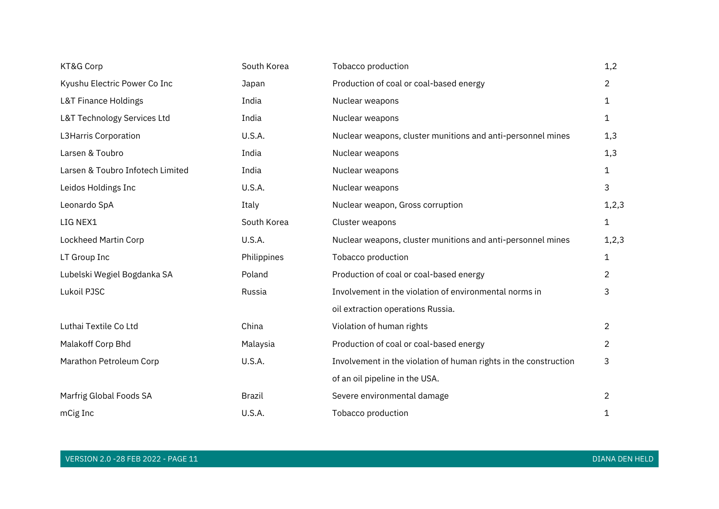| KT&G Corp                        | South Korea   | Tobacco production                                               | 1,2            |
|----------------------------------|---------------|------------------------------------------------------------------|----------------|
| Kyushu Electric Power Co Inc     | Japan         | Production of coal or coal-based energy                          | $\overline{2}$ |
| <b>L&amp;T Finance Holdings</b>  | India         | Nuclear weapons                                                  | 1              |
| L&T Technology Services Ltd      | India         | Nuclear weapons                                                  | 1              |
| L3Harris Corporation             | U.S.A.        | Nuclear weapons, cluster munitions and anti-personnel mines      | 1,3            |
| Larsen & Toubro                  | India         | Nuclear weapons                                                  | 1,3            |
| Larsen & Toubro Infotech Limited | India         | Nuclear weapons                                                  | $\mathbf{1}$   |
| Leidos Holdings Inc              | U.S.A.        | Nuclear weapons                                                  | 3              |
| Leonardo SpA                     | Italy         | Nuclear weapon, Gross corruption                                 | 1, 2, 3        |
| LIG NEX1                         | South Korea   | Cluster weapons                                                  | $\mathbf 1$    |
| Lockheed Martin Corp             | U.S.A.        | Nuclear weapons, cluster munitions and anti-personnel mines      | 1, 2, 3        |
| LT Group Inc                     | Philippines   | Tobacco production                                               | 1              |
| Lubelski Wegiel Bogdanka SA      | Poland        | Production of coal or coal-based energy                          | 2              |
| Lukoil PJSC                      | Russia        | Involvement in the violation of environmental norms in           | 3              |
|                                  |               | oil extraction operations Russia.                                |                |
| Luthai Textile Co Ltd            | China         | Violation of human rights                                        | 2              |
| Malakoff Corp Bhd                | Malaysia      | Production of coal or coal-based energy                          | $\overline{2}$ |
| Marathon Petroleum Corp          | U.S.A.        | Involvement in the violation of human rights in the construction | 3              |
|                                  |               | of an oil pipeline in the USA.                                   |                |
| Marfrig Global Foods SA          | <b>Brazil</b> | Severe environmental damage                                      | $\overline{2}$ |
| mCig Inc                         | U.S.A.        | Tobacco production                                               | 1              |

VERSION 2.0 -28 FEB 2022 - PAGE 11 DIANA DEN HELD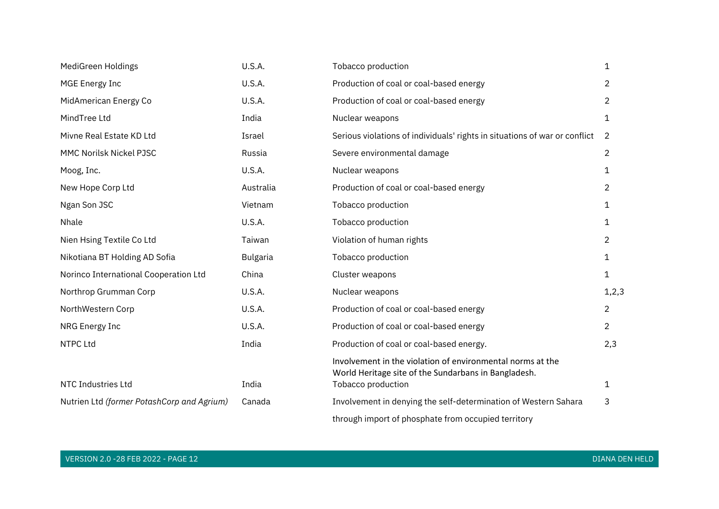| MediGreen Holdings                         | U.S.A.          | Tobacco production                                                                                                                       | 1              |
|--------------------------------------------|-----------------|------------------------------------------------------------------------------------------------------------------------------------------|----------------|
| <b>MGE Energy Inc</b>                      | U.S.A.          | Production of coal or coal-based energy                                                                                                  | 2              |
| MidAmerican Energy Co                      | U.S.A.          | Production of coal or coal-based energy                                                                                                  | $\overline{2}$ |
| MindTree Ltd                               | India           | Nuclear weapons                                                                                                                          | 1              |
| Mivne Real Estate KD Ltd                   | Israel          | Serious violations of individuals' rights in situations of war or conflict                                                               | 2              |
| MMC Norilsk Nickel PJSC                    | Russia          | Severe environmental damage                                                                                                              | $\overline{2}$ |
| Moog, Inc.                                 | U.S.A.          | Nuclear weapons                                                                                                                          | 1              |
| New Hope Corp Ltd                          | Australia       | Production of coal or coal-based energy                                                                                                  | $\overline{2}$ |
| Ngan Son JSC                               | Vietnam         | Tobacco production                                                                                                                       | 1              |
| Nhale                                      | <b>U.S.A.</b>   | Tobacco production                                                                                                                       | 1              |
| Nien Hsing Textile Co Ltd                  | Taiwan          | Violation of human rights                                                                                                                | $\overline{2}$ |
| Nikotiana BT Holding AD Sofia              | <b>Bulgaria</b> | Tobacco production                                                                                                                       | 1              |
| Norinco International Cooperation Ltd      | China           | Cluster weapons                                                                                                                          | 1              |
| Northrop Grumman Corp                      | U.S.A.          | Nuclear weapons                                                                                                                          | 1, 2, 3        |
| NorthWestern Corp                          | U.S.A.          | Production of coal or coal-based energy                                                                                                  | $\overline{2}$ |
| NRG Energy Inc                             | U.S.A.          | Production of coal or coal-based energy                                                                                                  | $\overline{2}$ |
| <b>NTPC Ltd</b>                            | India           | Production of coal or coal-based energy.                                                                                                 | 2,3            |
| NTC Industries Ltd                         | India           | Involvement in the violation of environmental norms at the<br>World Heritage site of the Sundarbans in Bangladesh.<br>Tobacco production | 1              |
|                                            |                 |                                                                                                                                          |                |
| Nutrien Ltd (former PotashCorp and Agrium) | Canada          | Involvement in denying the self-determination of Western Sahara                                                                          | 3              |
|                                            |                 | through import of phosphate from occupied territory                                                                                      |                |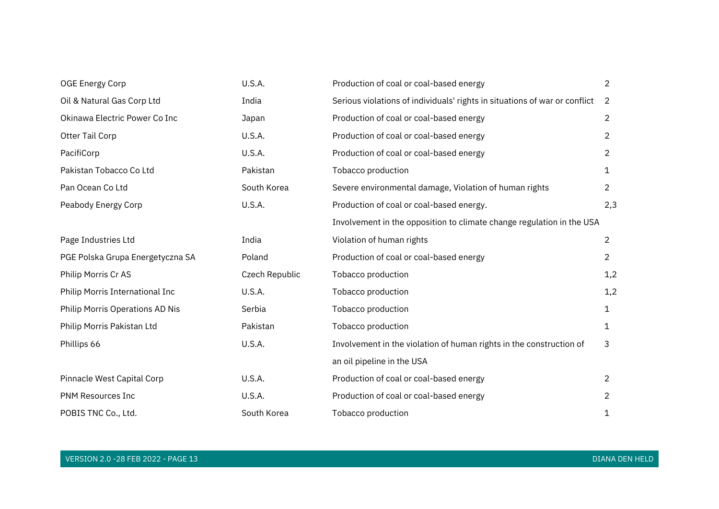| <b>OGE Energy Corp</b>           | U.S.A.         | Production of coal or coal-based energy                                    | $\overline{2}$ |
|----------------------------------|----------------|----------------------------------------------------------------------------|----------------|
| Oil & Natural Gas Corp Ltd       | India          | Serious violations of individuals' rights in situations of war or conflict | 2              |
| Okinawa Electric Power Co Inc    | Japan          | Production of coal or coal-based energy                                    | $\overline{2}$ |
| Otter Tail Corp                  | U.S.A.         | Production of coal or coal-based energy                                    | $\overline{2}$ |
| PacifiCorp                       | U.S.A.         | Production of coal or coal-based energy                                    | $\overline{2}$ |
| Pakistan Tobacco Co Ltd          | Pakistan       | Tobacco production                                                         | 1              |
| Pan Ocean Co Ltd                 | South Korea    | Severe environmental damage, Violation of human rights                     | $\overline{2}$ |
| Peabody Energy Corp              | U.S.A.         | Production of coal or coal-based energy.                                   | 2,3            |
|                                  |                | Involvement in the opposition to climate change regulation in the USA      |                |
| Page Industries Ltd              | India          | Violation of human rights                                                  | $\overline{2}$ |
| PGE Polska Grupa Energetyczna SA | Poland         | Production of coal or coal-based energy                                    | $\overline{2}$ |
| Philip Morris Cr AS              | Czech Republic | Tobacco production                                                         | 1,2            |
| Philip Morris International Inc  | U.S.A.         | Tobacco production                                                         | 1,2            |
| Philip Morris Operations AD Nis  | Serbia         | Tobacco production                                                         | $\mathbf{1}$   |
| Philip Morris Pakistan Ltd       | Pakistan       | Tobacco production                                                         | 1              |
| Phillips 66                      | U.S.A.         | Involvement in the violation of human rights in the construction of        | 3              |
|                                  |                | an oil pipeline in the USA                                                 |                |
| Pinnacle West Capital Corp       | U.S.A.         | Production of coal or coal-based energy                                    | $\overline{2}$ |
| <b>PNM Resources Inc</b>         | U.S.A.         | Production of coal or coal-based energy                                    | $\overline{2}$ |
| POBIS TNC Co., Ltd.              | South Korea    | Tobacco production                                                         | 1              |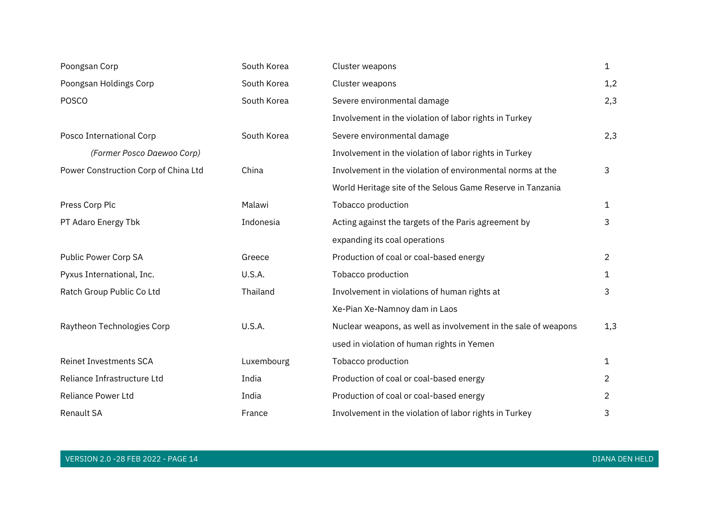| Poongsan Corp                        | South Korea | Cluster weapons                                                | $\mathbf{1}$   |
|--------------------------------------|-------------|----------------------------------------------------------------|----------------|
| Poongsan Holdings Corp               | South Korea | Cluster weapons                                                | 1,2            |
| <b>POSCO</b>                         | South Korea | Severe environmental damage                                    | 2,3            |
|                                      |             | Involvement in the violation of labor rights in Turkey         |                |
| Posco International Corp             | South Korea | Severe environmental damage                                    | 2,3            |
| (Former Posco Daewoo Corp)           |             | Involvement in the violation of labor rights in Turkey         |                |
| Power Construction Corp of China Ltd | China       | Involvement in the violation of environmental norms at the     | 3              |
|                                      |             | World Heritage site of the Selous Game Reserve in Tanzania     |                |
| Press Corp Plc                       | Malawi      | Tobacco production                                             | $\mathbf{1}$   |
| PT Adaro Energy Tbk                  | Indonesia   | Acting against the targets of the Paris agreement by           | 3              |
|                                      |             | expanding its coal operations                                  |                |
| Public Power Corp SA                 | Greece      | Production of coal or coal-based energy                        | $\overline{2}$ |
| Pyxus International, Inc.            | U.S.A.      | Tobacco production                                             | 1              |
| Ratch Group Public Co Ltd            | Thailand    | Involvement in violations of human rights at                   | 3              |
|                                      |             | Xe-Pian Xe-Namnoy dam in Laos                                  |                |
| Raytheon Technologies Corp           | U.S.A.      | Nuclear weapons, as well as involvement in the sale of weapons | 1,3            |
|                                      |             | used in violation of human rights in Yemen                     |                |
| <b>Reinet Investments SCA</b>        | Luxembourg  | Tobacco production                                             | $\mathbf{1}$   |
| Reliance Infrastructure Ltd          | India       | Production of coal or coal-based energy                        | $\overline{2}$ |
| Reliance Power Ltd                   | India       | Production of coal or coal-based energy                        | $\overline{2}$ |
| <b>Renault SA</b>                    | France      | Involvement in the violation of labor rights in Turkey         | 3              |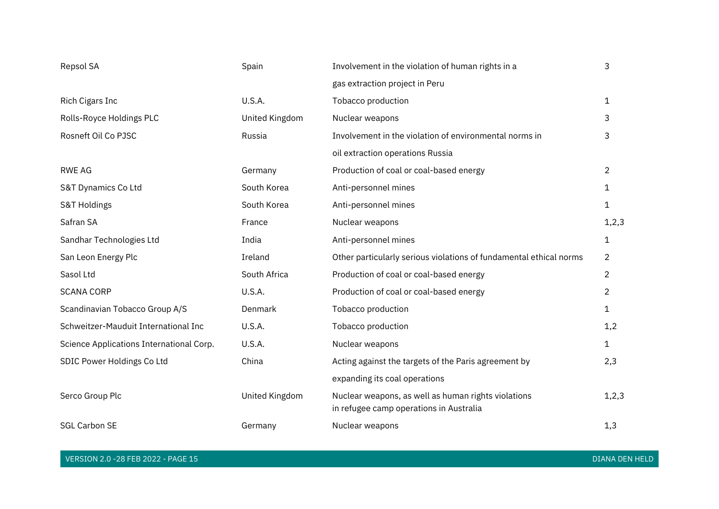| Repsol SA                                | Spain          | Involvement in the violation of human rights in a                                              | 3              |
|------------------------------------------|----------------|------------------------------------------------------------------------------------------------|----------------|
|                                          |                | gas extraction project in Peru                                                                 |                |
| Rich Cigars Inc                          | U.S.A.         | Tobacco production                                                                             | 1              |
| Rolls-Royce Holdings PLC                 | United Kingdom | Nuclear weapons                                                                                | 3              |
| Rosneft Oil Co PJSC                      | Russia         | Involvement in the violation of environmental norms in                                         | 3              |
|                                          |                | oil extraction operations Russia                                                               |                |
| <b>RWE AG</b>                            | Germany        | Production of coal or coal-based energy                                                        | $\overline{c}$ |
| S&T Dynamics Co Ltd                      | South Korea    | Anti-personnel mines                                                                           | 1              |
| S&T Holdings                             | South Korea    | Anti-personnel mines                                                                           | 1              |
| Safran SA                                | France         | Nuclear weapons                                                                                | 1, 2, 3        |
| Sandhar Technologies Ltd                 | India          | Anti-personnel mines                                                                           | 1              |
| San Leon Energy Plc                      | Ireland        | Other particularly serious violations of fundamental ethical norms                             | 2              |
| Sasol Ltd                                | South Africa   | Production of coal or coal-based energy                                                        | $\overline{2}$ |
| <b>SCANA CORP</b>                        | U.S.A.         | Production of coal or coal-based energy                                                        | $\overline{2}$ |
| Scandinavian Tobacco Group A/S           | Denmark        | Tobacco production                                                                             | 1              |
| Schweitzer-Mauduit International Inc     | U.S.A.         | Tobacco production                                                                             | 1,2            |
| Science Applications International Corp. | U.S.A.         | Nuclear weapons                                                                                | 1              |
| SDIC Power Holdings Co Ltd               | China          | Acting against the targets of the Paris agreement by                                           | 2,3            |
|                                          |                | expanding its coal operations                                                                  |                |
| Serco Group Plc                          | United Kingdom | Nuclear weapons, as well as human rights violations<br>in refugee camp operations in Australia | 1, 2, 3        |
| <b>SGL Carbon SE</b>                     | Germany        | Nuclear weapons                                                                                | 1,3            |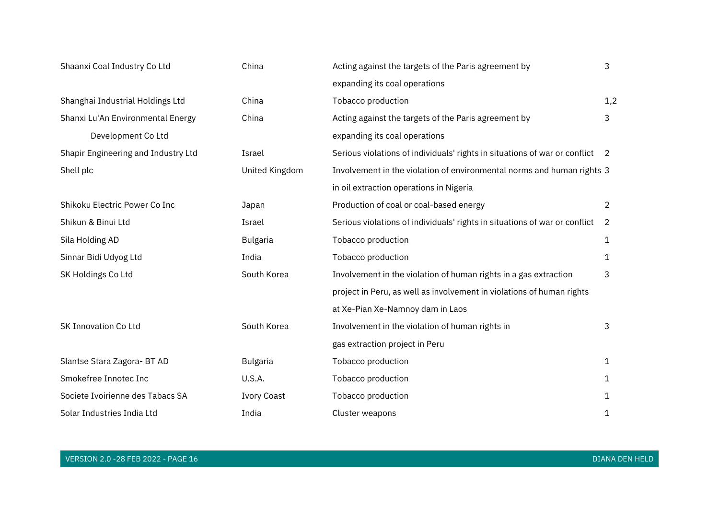| Shaanxi Coal Industry Co Ltd        | China              | Acting against the targets of the Paris agreement by                         | 3              |
|-------------------------------------|--------------------|------------------------------------------------------------------------------|----------------|
|                                     |                    | expanding its coal operations                                                |                |
| Shanghai Industrial Holdings Ltd    | China              | Tobacco production                                                           | 1,2            |
| Shanxi Lu'An Environmental Energy   | China              | Acting against the targets of the Paris agreement by                         | 3              |
| Development Co Ltd                  |                    | expanding its coal operations                                                |                |
| Shapir Engineering and Industry Ltd | Israel             | Serious violations of individuals' rights in situations of war or conflict 2 |                |
| Shell plc                           | United Kingdom     | Involvement in the violation of environmental norms and human rights 3       |                |
|                                     |                    | in oil extraction operations in Nigeria                                      |                |
| Shikoku Electric Power Co Inc       | Japan              | Production of coal or coal-based energy                                      | $\overline{2}$ |
| Shikun & Binui Ltd                  | Israel             | Serious violations of individuals' rights in situations of war or conflict   | 2              |
| Sila Holding AD                     | <b>Bulgaria</b>    | Tobacco production                                                           | 1              |
| Sinnar Bidi Udyog Ltd               | India              | Tobacco production                                                           | 1              |
| SK Holdings Co Ltd                  | South Korea        | Involvement in the violation of human rights in a gas extraction             | 3              |
|                                     |                    | project in Peru, as well as involvement in violations of human rights        |                |
|                                     |                    | at Xe-Pian Xe-Namnoy dam in Laos                                             |                |
| <b>SK Innovation Co Ltd</b>         | South Korea        | Involvement in the violation of human rights in                              | 3              |
|                                     |                    | gas extraction project in Peru                                               |                |
| Slantse Stara Zagora- BT AD         | Bulgaria           | Tobacco production                                                           | $\mathbf{1}$   |
| Smokefree Innotec Inc               | U.S.A.             | Tobacco production                                                           | 1              |
| Societe Ivoirienne des Tabacs SA    | <b>Ivory Coast</b> | Tobacco production                                                           | 1              |
| Solar Industries India Ltd          | India              | Cluster weapons                                                              | 1              |

VERSION 2.0 -28 FEB 2022 - PAGE 16 DIANA DEN HELD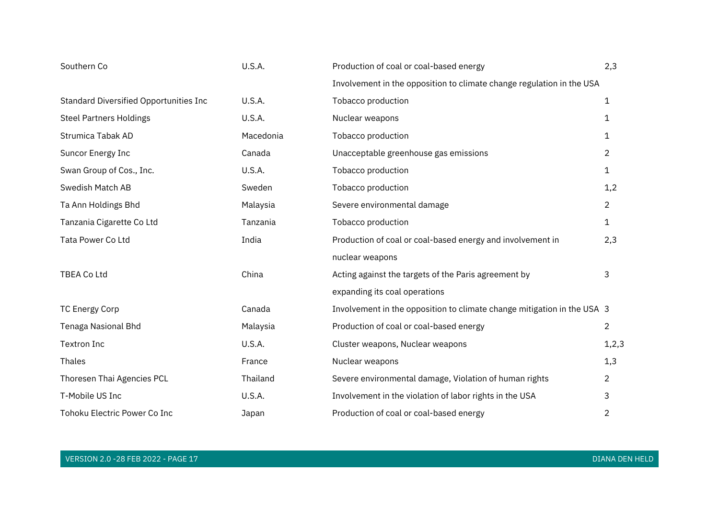| Southern Co                            | U.S.A.        | Production of coal or coal-based energy                                 | 2,3            |
|----------------------------------------|---------------|-------------------------------------------------------------------------|----------------|
|                                        |               | Involvement in the opposition to climate change regulation in the USA   |                |
| Standard Diversified Opportunities Inc | U.S.A.        | Tobacco production                                                      | 1              |
| <b>Steel Partners Holdings</b>         | U.S.A.        | Nuclear weapons                                                         | 1              |
| <b>Strumica Tabak AD</b>               | Macedonia     | Tobacco production                                                      | 1              |
| Suncor Energy Inc                      | Canada        | Unacceptable greenhouse gas emissions                                   | $\overline{2}$ |
| Swan Group of Cos., Inc.               | <b>U.S.A.</b> | Tobacco production                                                      | 1              |
| Swedish Match AB                       | Sweden        | Tobacco production                                                      | 1,2            |
| Ta Ann Holdings Bhd                    | Malaysia      | Severe environmental damage                                             | $\overline{2}$ |
| Tanzania Cigarette Co Ltd              | Tanzania      | Tobacco production                                                      | $\mathbf 1$    |
| Tata Power Co Ltd                      | India         | Production of coal or coal-based energy and involvement in              | 2,3            |
|                                        |               | nuclear weapons                                                         |                |
| TBEA Co Ltd                            | China         | Acting against the targets of the Paris agreement by                    | 3              |
|                                        |               | expanding its coal operations                                           |                |
| <b>TC Energy Corp</b>                  | Canada        | Involvement in the opposition to climate change mitigation in the USA 3 |                |
| Tenaga Nasional Bhd                    | Malaysia      | Production of coal or coal-based energy                                 | $\overline{2}$ |
| <b>Textron Inc</b>                     | U.S.A.        | Cluster weapons, Nuclear weapons                                        | 1, 2, 3        |
| Thales                                 | France        | Nuclear weapons                                                         | 1,3            |
| Thoresen Thai Agencies PCL             | Thailand      | Severe environmental damage, Violation of human rights                  | $\overline{2}$ |
| T-Mobile US Inc                        | U.S.A.        | Involvement in the violation of labor rights in the USA                 | 3              |
| Tohoku Electric Power Co Inc           | Japan         | Production of coal or coal-based energy                                 | $\overline{2}$ |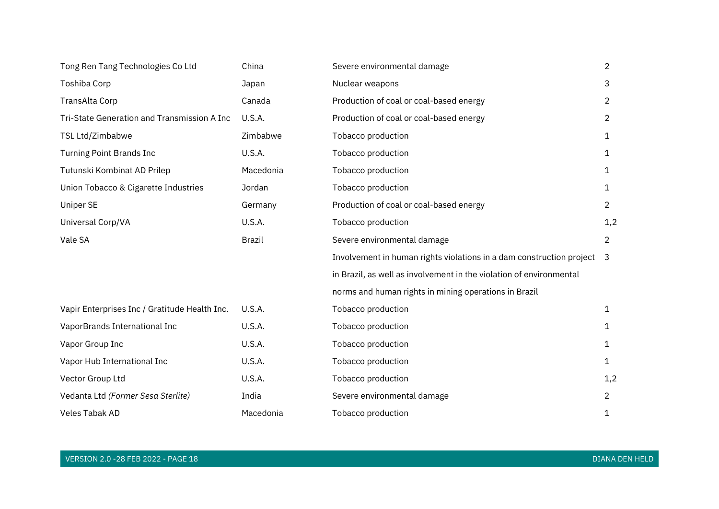| Tong Ren Tang Technologies Co Ltd             | China     | Severe environmental damage                                            | $\overline{2}$ |
|-----------------------------------------------|-----------|------------------------------------------------------------------------|----------------|
| Toshiba Corp                                  | Japan     | Nuclear weapons                                                        | 3              |
| TransAlta Corp                                | Canada    | Production of coal or coal-based energy                                | $\overline{2}$ |
| Tri-State Generation and Transmission A Inc   | U.S.A.    | Production of coal or coal-based energy                                | $\overline{2}$ |
| TSL Ltd/Zimbabwe                              | Zimbabwe  | Tobacco production                                                     | 1              |
| <b>Turning Point Brands Inc</b>               | U.S.A.    | Tobacco production                                                     | $\mathbf{1}$   |
| Tutunski Kombinat AD Prilep                   | Macedonia | Tobacco production                                                     | $\mathbf{1}$   |
| Union Tobacco & Cigarette Industries          | Jordan    | Tobacco production                                                     | $\mathbf{1}$   |
| <b>Uniper SE</b>                              | Germany   | Production of coal or coal-based energy                                | $\overline{2}$ |
| Universal Corp/VA                             | U.S.A.    | Tobacco production                                                     | 1,2            |
| Vale SA                                       | Brazil    | Severe environmental damage                                            | $\overline{2}$ |
|                                               |           | Involvement in human rights violations in a dam construction project 3 |                |
|                                               |           | in Brazil, as well as involvement in the violation of environmental    |                |
|                                               |           | norms and human rights in mining operations in Brazil                  |                |
| Vapir Enterprises Inc / Gratitude Health Inc. | U.S.A.    | Tobacco production                                                     | $\mathbf{1}$   |
| VaporBrands International Inc                 | U.S.A.    | Tobacco production                                                     | 1              |
| Vapor Group Inc                               | U.S.A.    | Tobacco production                                                     | $\mathbf{1}$   |
| Vapor Hub International Inc                   | U.S.A.    | Tobacco production                                                     | $\mathbf{1}$   |
| Vector Group Ltd                              | U.S.A.    | Tobacco production                                                     | 1,2            |
| Vedanta Ltd (Former Sesa Sterlite)            | India     | Severe environmental damage                                            | $\overline{2}$ |
| Veles Tabak AD                                | Macedonia | Tobacco production                                                     | 1              |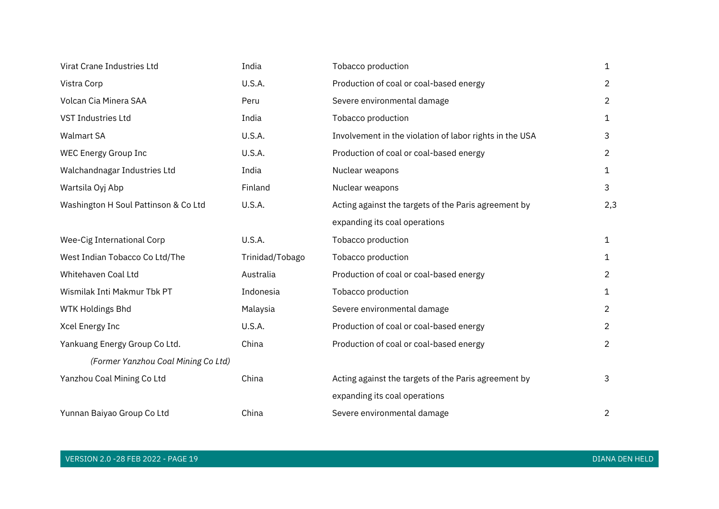| Virat Crane Industries Ltd           | India           | Tobacco production                                      | $\mathbf{1}$   |
|--------------------------------------|-----------------|---------------------------------------------------------|----------------|
| Vistra Corp                          | U.S.A.          | Production of coal or coal-based energy                 | $\overline{2}$ |
| Volcan Cia Minera SAA                | Peru            | Severe environmental damage                             | $\overline{2}$ |
| <b>VST Industries Ltd</b>            | India           | Tobacco production                                      | $\mathbf{1}$   |
| <b>Walmart SA</b>                    | U.S.A.          | Involvement in the violation of labor rights in the USA | 3              |
| WEC Energy Group Inc                 | U.S.A.          | Production of coal or coal-based energy                 | $\overline{2}$ |
| Walchandnagar Industries Ltd         | India           | Nuclear weapons                                         | 1              |
| Wartsila Oyj Abp                     | Finland         | Nuclear weapons                                         | 3              |
| Washington H Soul Pattinson & Co Ltd | U.S.A.          | Acting against the targets of the Paris agreement by    | 2,3            |
|                                      |                 | expanding its coal operations                           |                |
| Wee-Cig International Corp           | U.S.A.          | Tobacco production                                      | $\mathbf{1}$   |
| West Indian Tobacco Co Ltd/The       | Trinidad/Tobago | Tobacco production                                      | $\mathbf{1}$   |
| Whitehaven Coal Ltd                  | Australia       | Production of coal or coal-based energy                 | $\overline{2}$ |
| Wismilak Inti Makmur Tbk PT          | Indonesia       | Tobacco production                                      | $\mathbf{1}$   |
| <b>WTK Holdings Bhd</b>              | Malaysia        | Severe environmental damage                             | $\overline{2}$ |
| Xcel Energy Inc                      | U.S.A.          | Production of coal or coal-based energy                 | $\overline{2}$ |
| Yankuang Energy Group Co Ltd.        | China           | Production of coal or coal-based energy                 | $\overline{2}$ |
| (Former Yanzhou Coal Mining Co Ltd)  |                 |                                                         |                |
| Yanzhou Coal Mining Co Ltd           | China           | Acting against the targets of the Paris agreement by    | 3              |
|                                      |                 | expanding its coal operations                           |                |
| Yunnan Baiyao Group Co Ltd           | China           | Severe environmental damage                             | $\overline{2}$ |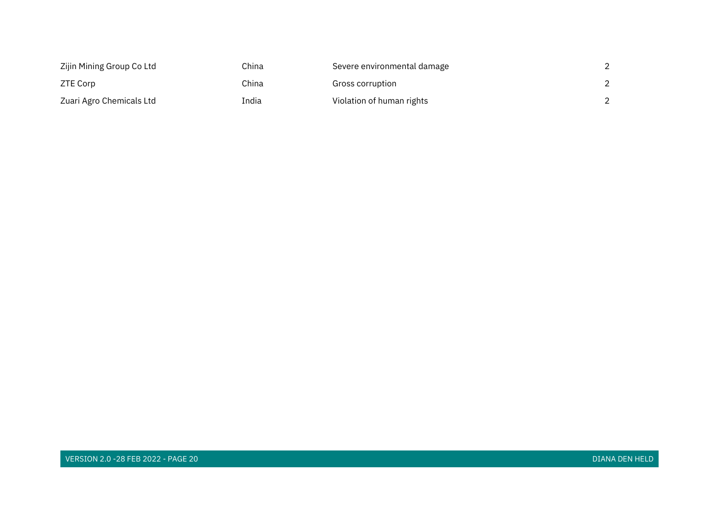| Zijin Mining Group Co Ltd | China | Severe environmental damage |  |
|---------------------------|-------|-----------------------------|--|
| ZTE Corp                  | China | Gross corruption            |  |
| Zuari Agro Chemicals Ltd  | India | Violation of human rights   |  |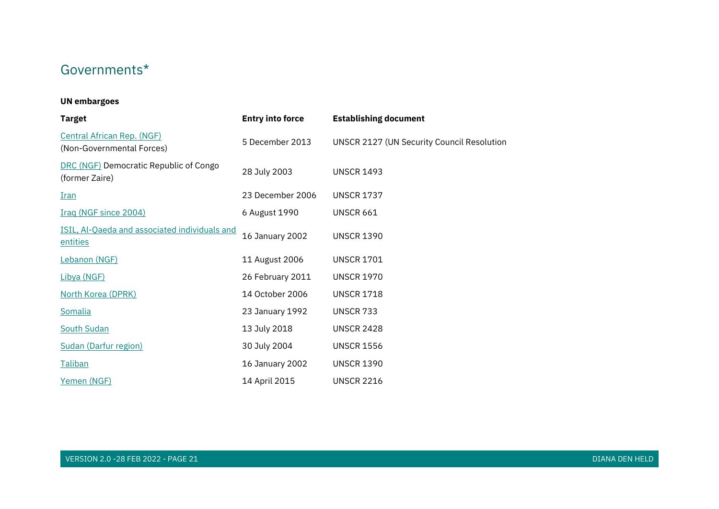## Governments\*

#### **UN embargoes**

| <b>Target</b>                                                  | <b>Entry into force</b> | <b>Establishing document</b>                      |
|----------------------------------------------------------------|-------------------------|---------------------------------------------------|
| <b>Central African Rep. (NGF)</b><br>(Non-Governmental Forces) | 5 December 2013         | <b>UNSCR 2127 (UN Security Council Resolution</b> |
| DRC (NGF) Democratic Republic of Congo<br>(former Zaire)       | 28 July 2003            | <b>UNSCR 1493</b>                                 |
| <u>Iran</u>                                                    | 23 December 2006        | <b>UNSCR 1737</b>                                 |
| Iraq (NGF since 2004)                                          | 6 August 1990           | <b>UNSCR 661</b>                                  |
| ISIL, Al-Qaeda and associated individuals and<br>entities      | <b>16 January 2002</b>  | <b>UNSCR 1390</b>                                 |
| Lebanon (NGF)                                                  | 11 August 2006          | <b>UNSCR 1701</b>                                 |
| Libya (NGF)                                                    | 26 February 2011        | <b>UNSCR 1970</b>                                 |
| North Korea (DPRK)                                             | 14 October 2006         | <b>UNSCR 1718</b>                                 |
| Somalia                                                        | 23 January 1992         | <b>UNSCR 733</b>                                  |
| <b>South Sudan</b>                                             | 13 July 2018            | <b>UNSCR 2428</b>                                 |
| Sudan (Darfur region)                                          | 30 July 2004            | <b>UNSCR 1556</b>                                 |
| Taliban                                                        | 16 January 2002         | <b>UNSCR 1390</b>                                 |
| Yemen (NGF)                                                    | 14 April 2015           | <b>UNSCR 2216</b>                                 |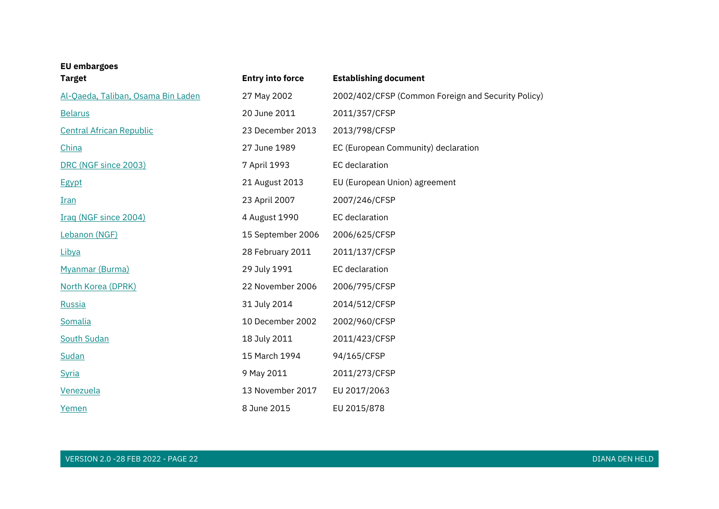| <b>EU</b> embargoes<br><b>Target</b> | <b>Entry into force</b> | <b>Establishing document</b>                       |
|--------------------------------------|-------------------------|----------------------------------------------------|
| Al-Qaeda, Taliban, Osama Bin Laden   | 27 May 2002             | 2002/402/CFSP (Common Foreign and Security Policy) |
| <b>Belarus</b>                       | 20 June 2011            | 2011/357/CFSP                                      |
| <b>Central African Republic</b>      | 23 December 2013        | 2013/798/CFSP                                      |
| China                                | 27 June 1989            | EC (European Community) declaration                |
| DRC (NGF since 2003)                 | 7 April 1993            | <b>EC</b> declaration                              |
| <b>Egypt</b>                         | 21 August 2013          | EU (European Union) agreement                      |
| <b>Iran</b>                          | 23 April 2007           | 2007/246/CFSP                                      |
| Iraq (NGF since 2004)                | 4 August 1990           | EC declaration                                     |
| Lebanon (NGF)                        | 15 September 2006       | 2006/625/CFSP                                      |
| Libya                                | 28 February 2011        | 2011/137/CFSP                                      |
| Myanmar (Burma)                      | 29 July 1991            | EC declaration                                     |
| North Korea (DPRK)                   | 22 November 2006        | 2006/795/CFSP                                      |
| Russia                               | 31 July 2014            | 2014/512/CFSP                                      |
| Somalia                              | 10 December 2002        | 2002/960/CFSP                                      |
| South Sudan                          | 18 July 2011            | 2011/423/CFSP                                      |
| Sudan                                | 15 March 1994           | 94/165/CFSP                                        |
| <b>Syria</b>                         | 9 May 2011              | 2011/273/CFSP                                      |
| Venezuela                            | 13 November 2017        | EU 2017/2063                                       |
| Yemen                                | 8 June 2015             | EU 2015/878                                        |